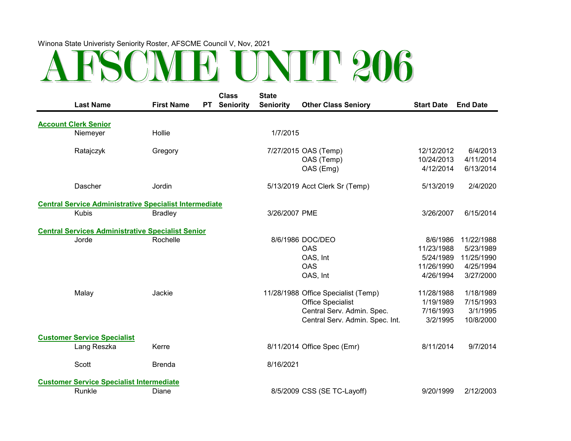| <b>Last Name</b>                                              | <b>First Name</b> | <b>PT</b> | <b>Class</b><br><b>Seniority</b> | <b>State</b><br><b>Seniority</b> | <b>Other Class Seniory</b>                      | <b>Start Date</b>                     | <b>End Date</b>                    |
|---------------------------------------------------------------|-------------------|-----------|----------------------------------|----------------------------------|-------------------------------------------------|---------------------------------------|------------------------------------|
| <b>Account Clerk Senior</b>                                   |                   |           |                                  |                                  |                                                 |                                       |                                    |
| Niemeyer                                                      | Hollie            |           |                                  | 1/7/2015                         |                                                 |                                       |                                    |
| Ratajczyk                                                     | Gregory           |           |                                  |                                  | 7/27/2015 OAS (Temp)<br>OAS (Temp)<br>OAS (Emg) | 12/12/2012<br>10/24/2013<br>4/12/2014 | 6/4/2013<br>4/11/2014<br>6/13/2014 |
| Dascher                                                       | Jordin            |           |                                  |                                  | 5/13/2019 Acct Clerk Sr (Temp)                  | 5/13/2019                             | 2/4/2020                           |
| <b>Central Service Administrative Specialist Intermediate</b> |                   |           |                                  |                                  |                                                 |                                       |                                    |
| <b>Kubis</b>                                                  | <b>Bradley</b>    |           |                                  | 3/26/2007 PME                    |                                                 | 3/26/2007                             | 6/15/2014                          |
| <b>Central Services Administrative Specialist Senior</b>      |                   |           |                                  |                                  |                                                 |                                       |                                    |
| Jorde                                                         | Rochelle          |           |                                  |                                  | 8/6/1986 DOC/DEO                                | 8/6/1986                              | 11/22/1988                         |
|                                                               |                   |           |                                  |                                  | <b>OAS</b>                                      | 11/23/1988                            | 5/23/1989                          |
|                                                               |                   |           |                                  |                                  | OAS, Int                                        | 5/24/1989                             | 11/25/1990                         |
|                                                               |                   |           |                                  |                                  | <b>OAS</b>                                      | 11/26/1990                            | 4/25/1994                          |
|                                                               |                   |           |                                  |                                  | OAS, Int                                        | 4/26/1994                             | 3/27/2000                          |
| Malay                                                         | Jackie            |           |                                  |                                  | 11/28/1988 Office Specialist (Temp)             | 11/28/1988                            | 1/18/1989                          |
|                                                               |                   |           |                                  |                                  | <b>Office Specialist</b>                        | 1/19/1989                             | 7/15/1993                          |
|                                                               |                   |           |                                  |                                  | Central Serv. Admin. Spec.                      | 7/16/1993                             | 3/1/1995                           |
|                                                               |                   |           |                                  |                                  | Central Serv. Admin. Spec. Int.                 | 3/2/1995                              | 10/8/2000                          |
| <b>Customer Service Specialist</b>                            |                   |           |                                  |                                  |                                                 |                                       |                                    |
| Lang Reszka                                                   | Kerre             |           |                                  |                                  | 8/11/2014 Office Spec (Emr)                     | 8/11/2014                             | 9/7/2014                           |
| Scott                                                         | <b>Brenda</b>     |           |                                  | 8/16/2021                        |                                                 |                                       |                                    |
| <b>Customer Service Specialist Intermediate</b>               |                   |           |                                  |                                  |                                                 |                                       |                                    |
| Runkle                                                        | Diane             |           |                                  |                                  | 8/5/2009 CSS (SE TC-Layoff)                     | 9/20/1999                             | 2/12/2003                          |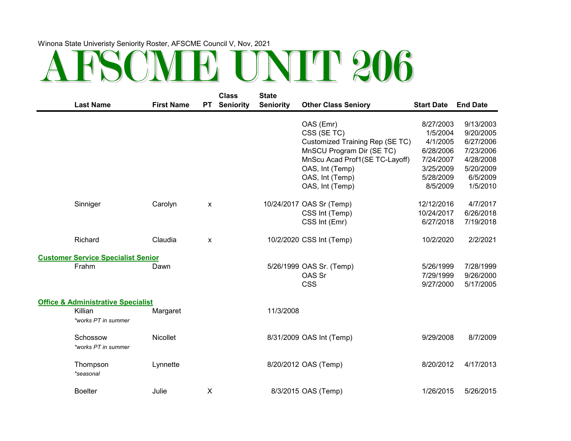| <b>Last Name</b>                                                                | <b>First Name</b> | <b>PT</b>                 | <b>Class</b><br><b>Seniority</b> | <b>State</b><br><b>Seniority</b> | <b>Other Class Seniory</b>                                                                      | <b>Start Date</b>                              | <b>End Date</b>                                  |
|---------------------------------------------------------------------------------|-------------------|---------------------------|----------------------------------|----------------------------------|-------------------------------------------------------------------------------------------------|------------------------------------------------|--------------------------------------------------|
|                                                                                 |                   |                           |                                  |                                  | OAS (Emr)<br>CSS (SE TC)<br><b>Customized Training Rep (SE TC)</b><br>MnSCU Program Dir (SE TC) | 8/27/2003<br>1/5/2004<br>4/1/2005<br>6/28/2006 | 9/13/2003<br>9/20/2005<br>6/27/2006<br>7/23/2006 |
|                                                                                 |                   |                           |                                  |                                  | MnScu Acad Prof1(SE TC-Layoff)<br>OAS, Int (Temp)<br>OAS, Int (Temp)                            | 7/24/2007<br>3/25/2009<br>5/28/2009            | 4/28/2008<br>5/20/2009<br>6/5/2009               |
|                                                                                 |                   |                           |                                  |                                  | OAS, Int (Temp)                                                                                 | 8/5/2009                                       | 1/5/2010                                         |
| Sinniger                                                                        | Carolyn           | X                         |                                  |                                  | 10/24/2017 OAS Sr (Temp)<br>CSS Int (Temp)<br>CSS Int (Emr)                                     | 12/12/2016<br>10/24/2017<br>6/27/2018          | 4/7/2017<br>6/26/2018<br>7/19/2018               |
| Richard                                                                         | Claudia           | $\boldsymbol{\mathsf{x}}$ |                                  |                                  | 10/2/2020 CSS Int (Temp)                                                                        | 10/2/2020                                      | 2/2/2021                                         |
| <b>Customer Service Specialist Senior</b>                                       |                   |                           |                                  |                                  |                                                                                                 |                                                |                                                  |
| Frahm                                                                           | Dawn              |                           |                                  |                                  | 5/26/1999 OAS Sr. (Temp)<br>OAS Sr<br><b>CSS</b>                                                | 5/26/1999<br>7/29/1999<br>9/27/2000            | 7/28/1999<br>9/26/2000<br>5/17/2005              |
| <b>Office &amp; Administrative Specialist</b><br>Killian<br>*works PT in summer | Margaret          |                           |                                  | 11/3/2008                        |                                                                                                 |                                                |                                                  |
| Schossow<br>*works PT in summer                                                 | <b>Nicollet</b>   |                           |                                  |                                  | 8/31/2009 OAS Int (Temp)                                                                        | 9/29/2008                                      | 8/7/2009                                         |
| Thompson<br>*seasonal                                                           | Lynnette          |                           |                                  |                                  | 8/20/2012 OAS (Temp)                                                                            | 8/20/2012                                      | 4/17/2013                                        |
| <b>Boelter</b>                                                                  | Julie             | X                         |                                  |                                  | 8/3/2015 OAS (Temp)                                                                             | 1/26/2015                                      | 5/26/2015                                        |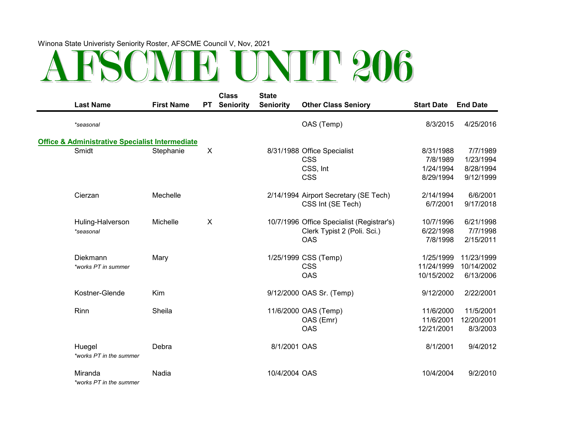|                                                            |                   |                           | <b>Class</b>     | <b>State</b>     |                                           |                   |                 |
|------------------------------------------------------------|-------------------|---------------------------|------------------|------------------|-------------------------------------------|-------------------|-----------------|
| <b>Last Name</b>                                           | <b>First Name</b> | <b>PT</b>                 | <b>Seniority</b> | <b>Seniority</b> | <b>Other Class Seniory</b>                | <b>Start Date</b> | <b>End Date</b> |
| *seasonal                                                  |                   |                           |                  |                  | OAS (Temp)                                | 8/3/2015          | 4/25/2016       |
| <b>Office &amp; Administrative Specialist Intermediate</b> |                   |                           |                  |                  |                                           |                   |                 |
| Smidt                                                      | Stephanie         | $\boldsymbol{\mathsf{X}}$ |                  |                  | 8/31/1988 Office Specialist               | 8/31/1988         | 7/7/1989        |
|                                                            |                   |                           |                  |                  | <b>CSS</b>                                | 7/8/1989          | 1/23/1994       |
|                                                            |                   |                           |                  |                  | CSS, Int                                  | 1/24/1994         | 8/28/1994       |
|                                                            |                   |                           |                  |                  | <b>CSS</b>                                | 8/29/1994         | 9/12/1999       |
| Cierzan                                                    | Mechelle          |                           |                  |                  | 2/14/1994 Airport Secretary (SE Tech)     | 2/14/1994         | 6/6/2001        |
|                                                            |                   |                           |                  |                  | CSS Int (SE Tech)                         | 6/7/2001          | 9/17/2018       |
| Huling-Halverson                                           | Michelle          | X                         |                  |                  | 10/7/1996 Office Specialist (Registrar's) | 10/7/1996         | 6/21/1998       |
| *seasonal                                                  |                   |                           |                  |                  | Clerk Typist 2 (Poli. Sci.)               | 6/22/1998         | 7/7/1998        |
|                                                            |                   |                           |                  |                  | <b>OAS</b>                                | 7/8/1998          | 2/15/2011       |
| Diekmann                                                   | Mary              |                           |                  |                  | 1/25/1999 CSS (Temp)                      | 1/25/1999         | 11/23/1999      |
| *works PT in summer                                        |                   |                           |                  |                  | <b>CSS</b>                                | 11/24/1999        | 10/14/2002      |
|                                                            |                   |                           |                  |                  | <b>OAS</b>                                | 10/15/2002        | 6/13/2006       |
| Kostner-Glende                                             | Kim               |                           |                  |                  | 9/12/2000 OAS Sr. (Temp)                  | 9/12/2000         | 2/22/2001       |
| Rinn                                                       | Sheila            |                           |                  |                  | 11/6/2000 OAS (Temp)                      | 11/6/2000         | 11/5/2001       |
|                                                            |                   |                           |                  |                  | OAS (Emr)                                 | 11/6/2001         | 12/20/2001      |
|                                                            |                   |                           |                  |                  | <b>OAS</b>                                | 12/21/2001        | 8/3/2003        |
| Huegel                                                     | Debra             |                           |                  | 8/1/2001 OAS     |                                           | 8/1/2001          | 9/4/2012        |
| *works PT in the summer                                    |                   |                           |                  |                  |                                           |                   |                 |
| Miranda<br>*works PT in the summer                         | Nadia             |                           |                  | 10/4/2004 OAS    |                                           | 10/4/2004         | 9/2/2010        |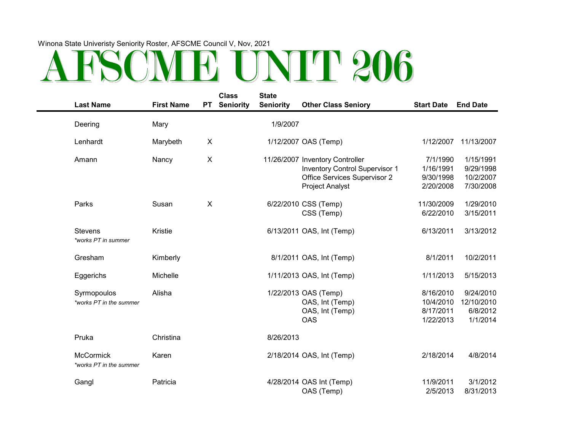|                                        |                   |                | <b>Class</b>     | <b>State</b>     |                                                                                                                                    |                                                  |                                                  |
|----------------------------------------|-------------------|----------------|------------------|------------------|------------------------------------------------------------------------------------------------------------------------------------|--------------------------------------------------|--------------------------------------------------|
| <b>Last Name</b>                       | <b>First Name</b> | <b>PT</b>      | <b>Seniority</b> | <b>Seniority</b> | <b>Other Class Seniory</b>                                                                                                         | <b>Start Date</b>                                | <b>End Date</b>                                  |
| Deering                                | Mary              |                |                  | 1/9/2007         |                                                                                                                                    |                                                  |                                                  |
| Lenhardt                               | Marybeth          | X              |                  |                  | 1/12/2007 OAS (Temp)                                                                                                               | 1/12/2007                                        | 11/13/2007                                       |
| Amann                                  | Nancy             | $\pmb{\times}$ |                  |                  | 11/26/2007 Inventory Controller<br><b>Inventory Control Supervisor 1</b><br>Office Services Supervisor 2<br><b>Project Analyst</b> | 7/1/1990<br>1/16/1991<br>9/30/1998<br>2/20/2008  | 1/15/1991<br>9/29/1998<br>10/2/2007<br>7/30/2008 |
| Parks                                  | Susan             | X              |                  |                  | 6/22/2010 CSS (Temp)<br>CSS (Temp)                                                                                                 | 11/30/2009<br>6/22/2010                          | 1/29/2010<br>3/15/2011                           |
| <b>Stevens</b><br>*works PT in summer  | Kristie           |                |                  |                  | 6/13/2011 OAS, Int (Temp)                                                                                                          | 6/13/2011                                        | 3/13/2012                                        |
| Gresham                                | Kimberly          |                |                  |                  | 8/1/2011 OAS, Int (Temp)                                                                                                           | 8/1/2011                                         | 10/2/2011                                        |
| Eggerichs                              | Michelle          |                |                  |                  | 1/11/2013 OAS, Int (Temp)                                                                                                          | 1/11/2013                                        | 5/15/2013                                        |
| Syrmopoulos<br>*works PT in the summer | Alisha            |                |                  |                  | 1/22/2013 OAS (Temp)<br>OAS, Int (Temp)<br>OAS, Int (Temp)<br><b>OAS</b>                                                           | 8/16/2010<br>10/4/2010<br>8/17/2011<br>1/22/2013 | 9/24/2010<br>12/10/2010<br>6/8/2012<br>1/1/2014  |
| Pruka                                  | Christina         |                |                  | 8/26/2013        |                                                                                                                                    |                                                  |                                                  |
| McCormick<br>*works PT in the summer   | Karen             |                |                  |                  | 2/18/2014 OAS, Int (Temp)                                                                                                          | 2/18/2014                                        | 4/8/2014                                         |
| Gangl                                  | Patricia          |                |                  |                  | 4/28/2014 OAS Int (Temp)<br>OAS (Temp)                                                                                             | 11/9/2011<br>2/5/2013                            | 3/1/2012<br>8/31/2013                            |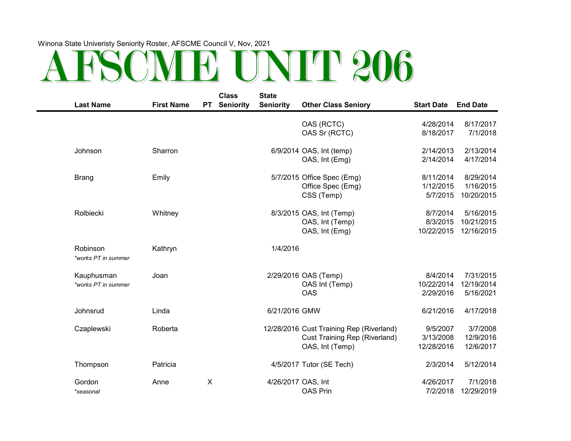$\blacksquare$ 

|                     |                   |                           | <b>Class</b>     | <b>State</b>       |                                          |                   |                 |
|---------------------|-------------------|---------------------------|------------------|--------------------|------------------------------------------|-------------------|-----------------|
| <b>Last Name</b>    | <b>First Name</b> | <b>PT</b>                 | <b>Seniority</b> | <b>Seniority</b>   | <b>Other Class Seniory</b>               | <b>Start Date</b> | <b>End Date</b> |
|                     |                   |                           |                  |                    |                                          |                   |                 |
|                     |                   |                           |                  |                    | OAS (RCTC)                               | 4/28/2014         | 8/17/2017       |
|                     |                   |                           |                  |                    | OAS Sr (RCTC)                            | 8/18/2017         | 7/1/2018        |
| Johnson             | Sharron           |                           |                  |                    | 6/9/2014 OAS, Int (temp)                 | 2/14/2013         | 2/13/2014       |
|                     |                   |                           |                  |                    | OAS, Int (Emg)                           | 2/14/2014         | 4/17/2014       |
|                     |                   |                           |                  |                    |                                          |                   |                 |
| <b>Brang</b>        | Emily             |                           |                  |                    | 5/7/2015 Office Spec (Emg)               | 8/11/2014         | 8/29/2014       |
|                     |                   |                           |                  |                    | Office Spec (Emg)                        | 1/12/2015         | 1/16/2015       |
|                     |                   |                           |                  |                    | CSS (Temp)                               | 5/7/2015          | 10/20/2015      |
| Rolbiecki           | Whitney           |                           |                  |                    | 8/3/2015 OAS, Int (Temp)                 | 8/7/2014          | 5/16/2015       |
|                     |                   |                           |                  |                    | OAS, Int (Temp)                          | 8/3/2015          | 10/21/2015      |
|                     |                   |                           |                  |                    | OAS, Int (Emg)                           | 10/22/2015        | 12/16/2015      |
|                     |                   |                           |                  |                    |                                          |                   |                 |
| Robinson            | Kathryn           |                           |                  | 1/4/2016           |                                          |                   |                 |
| *works PT in summer |                   |                           |                  |                    |                                          |                   |                 |
| Kauphusman          | Joan              |                           |                  |                    | 2/29/2016 OAS (Temp)                     | 8/4/2014          | 7/31/2015       |
| *works PT in summer |                   |                           |                  |                    | OAS Int (Temp)                           | 10/22/2014        | 12/19/2014      |
|                     |                   |                           |                  |                    |                                          |                   |                 |
|                     |                   |                           |                  |                    | <b>OAS</b>                               | 2/29/2016         | 5/16/2021       |
| Johnsrud            | Linda             |                           |                  | 6/21/2016 GMW      |                                          | 6/21/2016         | 4/17/2018       |
|                     |                   |                           |                  |                    |                                          |                   |                 |
| Czaplewski          | Roberta           |                           |                  |                    | 12/28/2016 Cust Training Rep (Riverland) | 9/5/2007          | 3/7/2008        |
|                     |                   |                           |                  |                    | <b>Cust Training Rep (Riverland)</b>     | 3/13/2008         | 12/9/2016       |
|                     |                   |                           |                  |                    | OAS, Int (Temp)                          | 12/28/2016        | 12/6/2017       |
|                     |                   |                           |                  |                    |                                          |                   |                 |
| Thompson            | Patricia          |                           |                  |                    | 4/5/2017 Tutor (SE Tech)                 | 2/3/2014          | 5/12/2014       |
| Gordon              | Anne              | $\boldsymbol{\mathsf{X}}$ |                  | 4/26/2017 OAS, Int |                                          | 4/26/2017         | 7/1/2018        |
| *seasonal           |                   |                           |                  |                    | <b>OAS Prin</b>                          | 7/2/2018          | 12/29/2019      |
|                     |                   |                           |                  |                    |                                          |                   |                 |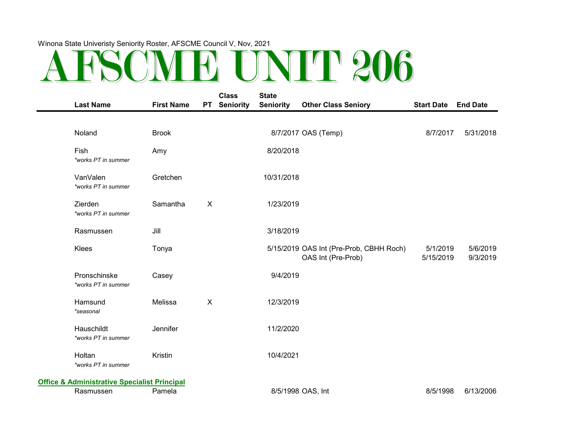| <b>Last Name</b>                                        | <b>First Name</b> | <b>PT</b> | <b>Class</b><br><b>Seniority</b> | <b>State</b><br><b>Seniority</b> | <b>Other Class Seniory</b>                                    | <b>Start Date</b>     | <b>End Date</b>      |
|---------------------------------------------------------|-------------------|-----------|----------------------------------|----------------------------------|---------------------------------------------------------------|-----------------------|----------------------|
|                                                         |                   |           |                                  |                                  |                                                               |                       |                      |
| Noland                                                  | <b>Brook</b>      |           |                                  |                                  | 8/7/2017 OAS (Temp)                                           | 8/7/2017              | 5/31/2018            |
| Fish<br>*works PT in summer                             | Amy               |           |                                  | 8/20/2018                        |                                                               |                       |                      |
| VanValen<br>*works PT in summer                         | Gretchen          |           |                                  | 10/31/2018                       |                                                               |                       |                      |
| Zierden<br>*works PT in summer                          | Samantha          | X         |                                  | 1/23/2019                        |                                                               |                       |                      |
| Rasmussen                                               | Jill              |           |                                  | 3/18/2019                        |                                                               |                       |                      |
| Klees                                                   | Tonya             |           |                                  |                                  | 5/15/2019 OAS Int (Pre-Prob, CBHH Roch)<br>OAS Int (Pre-Prob) | 5/1/2019<br>5/15/2019 | 5/6/2019<br>9/3/2019 |
| Pronschinske<br>*works PT in summer                     | Casey             |           |                                  | 9/4/2019                         |                                                               |                       |                      |
| Hamsund<br>*seasonal                                    | Melissa           | X         |                                  | 12/3/2019                        |                                                               |                       |                      |
| Hauschildt<br>*works PT in summer                       | Jennifer          |           |                                  | 11/2/2020                        |                                                               |                       |                      |
| Holtan<br>*works PT in summer                           | Kristin           |           |                                  | 10/4/2021                        |                                                               |                       |                      |
| <b>Office &amp; Administrative Specialist Principal</b> |                   |           |                                  |                                  |                                                               |                       |                      |
| Rasmussen                                               | Pamela            |           |                                  | 8/5/1998 OAS, Int                |                                                               | 8/5/1998              | 6/13/2006            |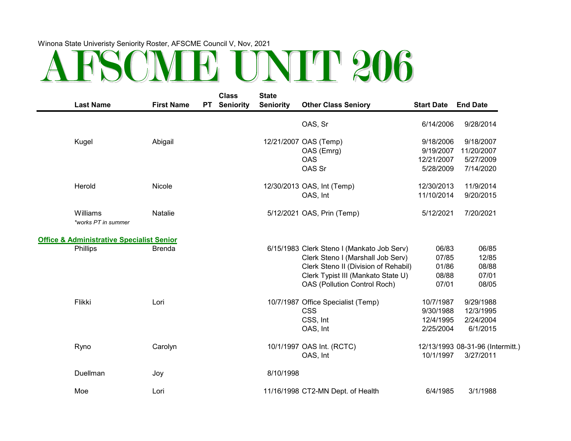# Winona State Univeristy Seniority Roster, AFSCME Council V, Nov, 2021<br>
and the council V, Nov, 2021<br>
and the council V, Nov, 2021<br>
and the council V, Nov, 2021<br>
and the council V, Nov, 2021<br>
and the council V, Nov, 2021<br>
a

| <b>Last Name</b>                                     | <b>First Name</b> | <b>PT</b> | <b>Class</b><br><b>Seniority</b> | <b>State</b><br><b>Seniority</b> | <b>Other Class Seniory</b>                 | <b>Start Date</b> | <b>End Date</b>                  |
|------------------------------------------------------|-------------------|-----------|----------------------------------|----------------------------------|--------------------------------------------|-------------------|----------------------------------|
|                                                      |                   |           |                                  |                                  |                                            |                   |                                  |
|                                                      |                   |           |                                  |                                  | OAS, Sr                                    | 6/14/2006         | 9/28/2014                        |
| Kugel                                                | Abigail           |           |                                  |                                  | 12/21/2007 OAS (Temp)                      | 9/18/2006         | 9/18/2007                        |
|                                                      |                   |           |                                  |                                  | OAS (Emrg)                                 | 9/19/2007         | 11/20/2007                       |
|                                                      |                   |           |                                  |                                  | <b>OAS</b>                                 | 12/21/2007        | 5/27/2009                        |
|                                                      |                   |           |                                  |                                  | OAS Sr                                     | 5/28/2009         | 7/14/2020                        |
| Herold                                               | Nicole            |           |                                  |                                  | 12/30/2013 OAS, Int (Temp)                 | 12/30/2013        | 11/9/2014                        |
|                                                      |                   |           |                                  |                                  | OAS, Int                                   | 11/10/2014        | 9/20/2015                        |
| Williams<br>*works PT in summer                      | Natalie           |           |                                  |                                  | 5/12/2021 OAS, Prin (Temp)                 | 5/12/2021         | 7/20/2021                        |
| <b>Office &amp; Administrative Specialist Senior</b> |                   |           |                                  |                                  |                                            |                   |                                  |
| <b>Phillips</b>                                      | <b>Brenda</b>     |           |                                  |                                  | 6/15/1983 Clerk Steno I (Mankato Job Serv) | 06/83             | 06/85                            |
|                                                      |                   |           |                                  |                                  | Clerk Steno I (Marshall Job Serv)          | 07/85             | 12/85                            |
|                                                      |                   |           |                                  |                                  | Clerk Steno II (Division of Rehabil)       | 01/86             | 08/88                            |
|                                                      |                   |           |                                  |                                  | Clerk Typist III (Mankato State U)         | 08/88             | 07/01                            |
|                                                      |                   |           |                                  |                                  | OAS (Pollution Control Roch)               | 07/01             | 08/05                            |
| Flikki                                               | Lori              |           |                                  |                                  | 10/7/1987 Office Specialist (Temp)         | 10/7/1987         | 9/29/1988                        |
|                                                      |                   |           |                                  |                                  | <b>CSS</b>                                 | 9/30/1988         | 12/3/1995                        |
|                                                      |                   |           |                                  |                                  | CSS, Int                                   | 12/4/1995         | 2/24/2004                        |
|                                                      |                   |           |                                  |                                  | OAS, Int                                   | 2/25/2004         | 6/1/2015                         |
| Ryno                                                 | Carolyn           |           |                                  |                                  | 10/1/1997 OAS Int. (RCTC)                  |                   | 12/13/1993 08-31-96 (Intermitt.) |
|                                                      |                   |           |                                  |                                  | OAS, Int                                   | 10/1/1997         | 3/27/2011                        |
| Duellman                                             | Joy               |           |                                  | 8/10/1998                        |                                            |                   |                                  |
| Moe                                                  | Lori              |           |                                  |                                  | 11/16/1998 CT2-MN Dept. of Health          | 6/4/1985          | 3/1/1988                         |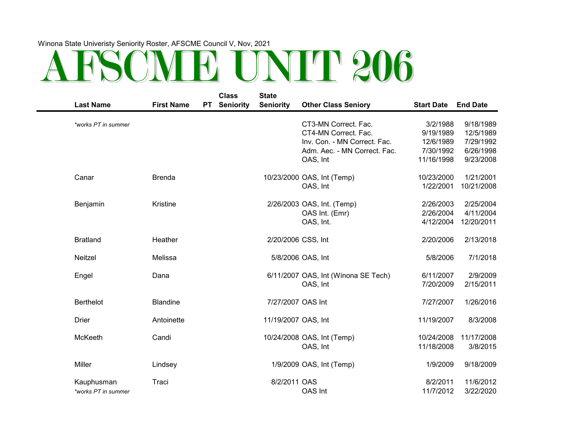|                     |                   |           | <b>Class</b>     | <b>State</b>        |                                     |                   |                 |
|---------------------|-------------------|-----------|------------------|---------------------|-------------------------------------|-------------------|-----------------|
| <b>Last Name</b>    | <b>First Name</b> | <b>PT</b> | <b>Seniority</b> | <b>Seniority</b>    | <b>Other Class Seniory</b>          | <b>Start Date</b> | <b>End Date</b> |
|                     |                   |           |                  |                     |                                     |                   |                 |
| *works PT in summer |                   |           |                  |                     | CT3-MN Correct. Fac.                | 3/2/1988          | 9/18/1989       |
|                     |                   |           |                  |                     | CT4-MN Correct. Fac.                | 9/19/1989         | 12/5/1989       |
|                     |                   |           |                  |                     | Inv. Con. - MN Correct. Fac.        | 12/6/1989         | 7/29/1992       |
|                     |                   |           |                  |                     | Adm. Aec. - MN Correct. Fac.        | 7/30/1992         | 6/26/1998       |
|                     |                   |           |                  |                     | OAS, Int                            | 11/16/1998        | 9/23/2008       |
| Canar               | <b>Brenda</b>     |           |                  |                     | 10/23/2000 OAS, Int (Temp)          | 10/23/2000        | 1/21/2001       |
|                     |                   |           |                  |                     | OAS, Int                            | 1/22/2001         | 10/21/2008      |
|                     |                   |           |                  |                     |                                     |                   |                 |
| Benjamin            | Kristine          |           |                  |                     | 2/26/2003 OAS, Int. (Temp)          | 2/26/2003         | 2/25/2004       |
|                     |                   |           |                  |                     | OAS Int. (Emr)                      | 2/26/2004         | 4/11/2004       |
|                     |                   |           |                  |                     | OAS, Int.                           | 4/12/2004         | 12/20/2011      |
|                     |                   |           |                  |                     |                                     |                   |                 |
| <b>Bratland</b>     | Heather           |           |                  | 2/20/2006 CSS, Int  |                                     | 2/20/2006         | 2/13/2018       |
| Neitzel             | Melissa           |           |                  | 5/8/2006 OAS, Int   |                                     | 5/8/2006          | 7/1/2018        |
|                     |                   |           |                  |                     |                                     |                   |                 |
| Engel               | Dana              |           |                  |                     | 6/11/2007 OAS, Int (Winona SE Tech) | 6/11/2007         | 2/9/2009        |
|                     |                   |           |                  |                     | OAS, Int                            | 7/20/2009         | 2/15/2011       |
|                     |                   |           |                  |                     |                                     |                   |                 |
| <b>Berthelot</b>    | <b>Blandine</b>   |           |                  | 7/27/2007 OAS Int   |                                     | 7/27/2007         | 1/26/2016       |
| <b>Drier</b>        | Antoinette        |           |                  | 11/19/2007 OAS, Int |                                     | 11/19/2007        | 8/3/2008        |
|                     |                   |           |                  |                     |                                     |                   |                 |
| McKeeth             | Candi             |           |                  |                     | 10/24/2008 OAS, Int (Temp)          | 10/24/2008        | 11/17/2008      |
|                     |                   |           |                  |                     | OAS, Int                            | 11/18/2008        | 3/8/2015        |
|                     |                   |           |                  |                     |                                     |                   |                 |
| Miller              | Lindsey           |           |                  |                     | 1/9/2009 OAS, Int (Temp)            | 1/9/2009          | 9/18/2009       |
| Kauphusman          | Traci             |           |                  | 8/2/2011 OAS        |                                     | 8/2/2011          | 11/6/2012       |
| *works PT in summer |                   |           |                  |                     | OAS Int                             | 11/7/2012         | 3/22/2020       |
|                     |                   |           |                  |                     |                                     |                   |                 |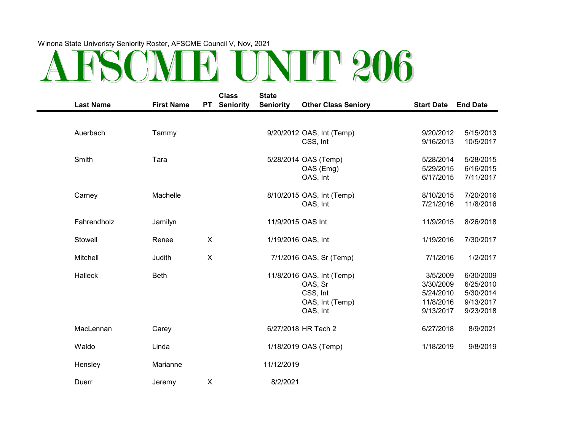|                  |                   |                           | <b>Class</b>     | <b>State</b>       |                                                                                 |                                                              |                                                               |
|------------------|-------------------|---------------------------|------------------|--------------------|---------------------------------------------------------------------------------|--------------------------------------------------------------|---------------------------------------------------------------|
| <b>Last Name</b> | <b>First Name</b> | <b>PT</b>                 | <b>Seniority</b> | <b>Seniority</b>   | <b>Other Class Seniory</b>                                                      | <b>Start Date</b>                                            | <b>End Date</b>                                               |
|                  |                   |                           |                  |                    |                                                                                 |                                                              |                                                               |
| Auerbach         | Tammy             |                           |                  |                    | 9/20/2012 OAS, Int (Temp)<br>CSS, Int                                           | 9/20/2012<br>9/16/2013                                       | 5/15/2013<br>10/5/2017                                        |
| Smith            | Tara              |                           |                  |                    | 5/28/2014 OAS (Temp)<br>OAS (Emg)<br>OAS, Int                                   | 5/28/2014<br>5/29/2015<br>6/17/2015                          | 5/28/2015<br>6/16/2015<br>7/11/2017                           |
| Carney           | Machelle          |                           |                  |                    | 8/10/2015 OAS, Int (Temp)<br>OAS, Int                                           | 8/10/2015<br>7/21/2016                                       | 7/20/2016<br>11/8/2016                                        |
| Fahrendholz      | Jamilyn           |                           |                  | 11/9/2015 OAS Int  |                                                                                 | 11/9/2015                                                    | 8/26/2018                                                     |
| Stowell          | Renee             | $\boldsymbol{\mathsf{X}}$ |                  | 1/19/2016 OAS, Int |                                                                                 | 1/19/2016                                                    | 7/30/2017                                                     |
| Mitchell         | Judith            | $\boldsymbol{\mathsf{X}}$ |                  |                    | 7/1/2016 OAS, Sr (Temp)                                                         | 7/1/2016                                                     | 1/2/2017                                                      |
| Halleck          | <b>Beth</b>       |                           |                  |                    | 11/8/2016 OAS, Int (Temp)<br>OAS, Sr<br>CSS, Int<br>OAS, Int (Temp)<br>OAS, Int | 3/5/2009<br>3/30/2009<br>5/24/2010<br>11/8/2016<br>9/13/2017 | 6/30/2009<br>6/25/2010<br>5/30/2014<br>9/13/2017<br>9/23/2018 |
| MacLennan        | Carey             |                           |                  |                    | 6/27/2018 HR Tech 2                                                             | 6/27/2018                                                    | 8/9/2021                                                      |
| Waldo            | Linda             |                           |                  |                    | 1/18/2019 OAS (Temp)                                                            | 1/18/2019                                                    | 9/8/2019                                                      |
| Hensley          | Marianne          |                           |                  | 11/12/2019         |                                                                                 |                                                              |                                                               |
| Duerr            | Jeremy            | X                         |                  | 8/2/2021           |                                                                                 |                                                              |                                                               |